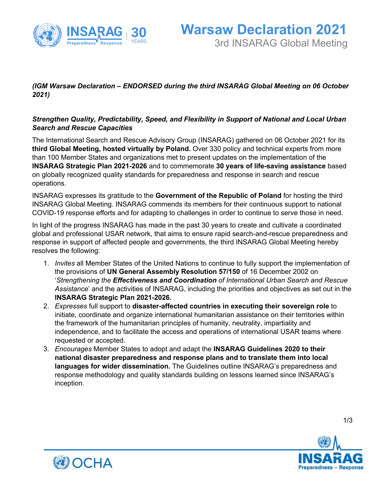

## *(IGM Warsaw Declaration – ENDORSED during the third INSARAG Global Meeting on 06 October 2021)*

## *Strengthen Quality, Predictability, Speed, and Flexibility in Support of National and Local Urban Search and Rescue Capacities*

The International Search and Rescue Advisory Group (INSARAG) gathered on 06 October 2021 for its **third Global Meeting, hosted virtually by Poland.** Over 330 policy and technical experts from more than 100 Member States and organizations met to present updates on the implementation of the **INSARAG Strategic Plan 2021-2026** and to commemorate **30 years of life-saving assistance** based on globally recognized quality standards for preparedness and response in search and rescue operations.

INSARAG expresses its gratitude to the **Government of the Republic of Poland** for hosting the third INSARAG Global Meeting. INSARAG commends its members for their continuous support to national COVID-19 response efforts and for adapting to challenges in order to continue to serve those in need.

In light of the progress INSARAG has made in the past 30 years to create and cultivate a coordinated global and professional USAR network, that aims to ensure rapid search-and-rescue preparedness and response in support of affected people and governments, the third INSARAG Global Meeting hereby resolves the following:

- 1. *Invites* all Member States of the United Nations to continue to fully support the implementation of the provisions of **UN General Assembly Resolution 57/150** of 16 December 2002 on '*Strengthening the Effectiveness and Coordination of International Urban Search and Rescue Assistance*' and the activities of INSARAG, including the priorities and objectives as set out in the **INSARAG Strategic Plan 2021-2026.**
- 2. *Expresses* full support to **disaster-affected countries in executing their sovereign role** to initiate, coordinate and organize international humanitarian assistance on their territories within the framework of the humanitarian principles of humanity, neutrality, impartiality and independence, and to facilitate the access and operations of international USAR teams where requested or accepted.
- 3. *Encourages* Member States to adopt and adapt the **INSARAG Guidelines 2020 to their national disaster preparedness and response plans and to translate them into local languages for wider dissemination.** The Guidelines outline INSARAG's preparedness and response methodology and quality standards building on lessons learned since INSARAG's inception.





1/3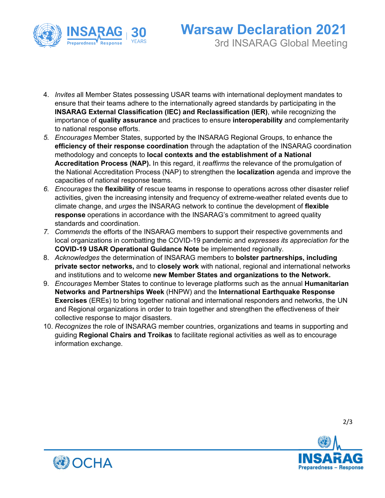

- 4. *Invites* all Member States possessing USAR teams with international deployment mandates to ensure that their teams adhere to the internationally agreed standards by participating in the **INSARAG External Classification (IEC) and Reclassification (IER)**, while recognizing the importance of **quality assurance** and practices to ensure **interoperability** and complementarity to national response efforts.
- *5. Encourages* Member States, supported by the INSARAG Regional Groups, to enhance the **efficiency of their response coordination** through the adaptation of the INSARAG coordination methodology and concepts to **local contexts and the establishment of a National Accreditation Process (NAP).** In this regard, it *reaffirms* the relevance of the promulgation of the National Accreditation Process (NAP) to strengthen the **localization** agenda and improve the capacities of national response teams.
- *6. Encourages* the **flexibility** of rescue teams in response to operations across other disaster relief activities, given the increasing intensity and frequency of extreme-weather related events due to climate change, and *urges* the INSARAG network to continue the development of **flexible response** operations in accordance with the INSARAG's commitment to agreed quality standards and coordination.
- *7. Commends* the efforts of the INSARAG members to support their respective governments and local organizations in combatting the COVID-19 pandemic and *expresses its appreciation for* the **COVID-19 USAR Operational Guidance Note** be implemented regionally.
- 8. *Acknowledges* the determination of INSARAG members to **bolster partnerships, including private sector networks,** and to **closely work** with national, regional and international networks and institutions and to welcome **new Member States and organizations to the Network.**
- 9. *Encourages* Member States to continue to leverage platforms such as the annual **Humanitarian Networks and Partnerships Week** (HNPW) and the **International Earthquake Response Exercises** (EREs) to bring together national and international responders and networks, the UN and Regional organizations in order to train together and strengthen the effectiveness of their collective response to major disasters.
- 10. *Recognizes* the role of INSARAG member countries, organizations and teams in supporting and guiding **Regional Chairs and Troikas** to facilitate regional activities as well as to encourage information exchange.